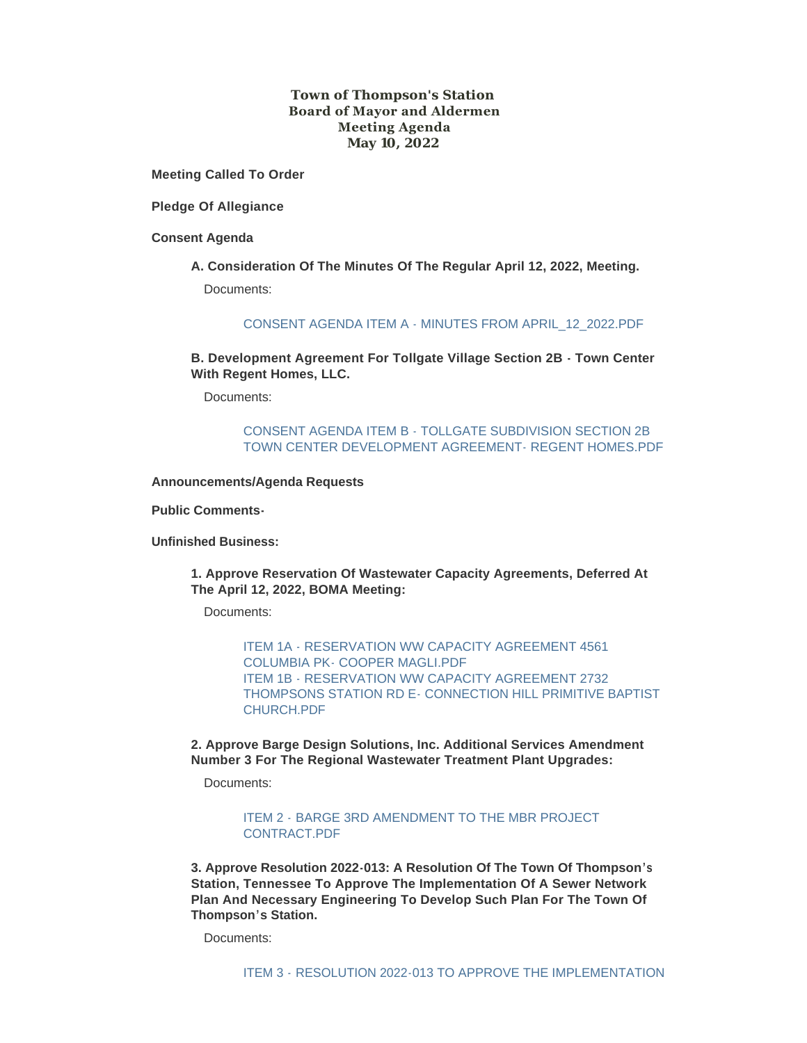## **Town of Thompson's Station Board of Mayor and Aldermen Meeting Agenda May 10, 2022**

**Meeting Called To Order**

**Pledge Of Allegiance**

**Consent Agenda**

**A. Consideration Of The Minutes Of The Regular April 12, 2022, Meeting.** Documents:

[CONSENT AGENDA ITEM A - MINUTES FROM APRIL\\_12\\_2022.PDF](https://www.thompsons-station.com/AgendaCenter/ViewFile/Item/3799?fileID=16317)

**B. Development Agreement For Tollgate Village Section 2B - Town Center With Regent Homes, LLC.**

Documents:

CONSENT AGENDA ITEM B - TOLLGATE SUBDIVISION SECTION 2B [TOWN CENTER DEVELOPMENT AGREEMENT- REGENT HOMES.PDF](https://www.thompsons-station.com/AgendaCenter/ViewFile/Item/3800?fileID=16318)

**Announcements/Agenda Requests**

**Public Comments-**

**Unfinished Business:**

**1. Approve Reservation Of Wastewater Capacity Agreements, Deferred At The April 12, 2022, BOMA Meeting:** 

Documents:

[ITEM 1A - RESERVATION WW CAPACITY AGREEMENT 4561](https://www.thompsons-station.com/AgendaCenter/ViewFile/Item/3801?fileID=16320)  COLUMBIA PK- COOPER MAGLI PDF ITEM 1B - RESERVATION WW CAPACITY AGREEMENT 2732 [THOMPSONS STATION RD E- CONNECTION HILL PRIMITIVE BAPTIST](https://www.thompsons-station.com/AgendaCenter/ViewFile/Item/3801?fileID=16319)  CHURCH.PDF

**2. Approve Barge Design Solutions, Inc. Additional Services Amendment Number 3 For The Regional Wastewater Treatment Plant Upgrades:** 

Documents:

ITEM 2 - [BARGE 3RD AMENDMENT TO THE MBR PROJECT](https://www.thompsons-station.com/AgendaCenter/ViewFile/Item/3802?fileID=16321)  CONTRACT.PDF

**3. Approve Resolution 2022-013: A Resolution Of The Town Of Thompson's Station, Tennessee To Approve The Implementation Of A Sewer Network Plan And Necessary Engineering To Develop Such Plan For The Town Of Thompson's Station.**

Documents: